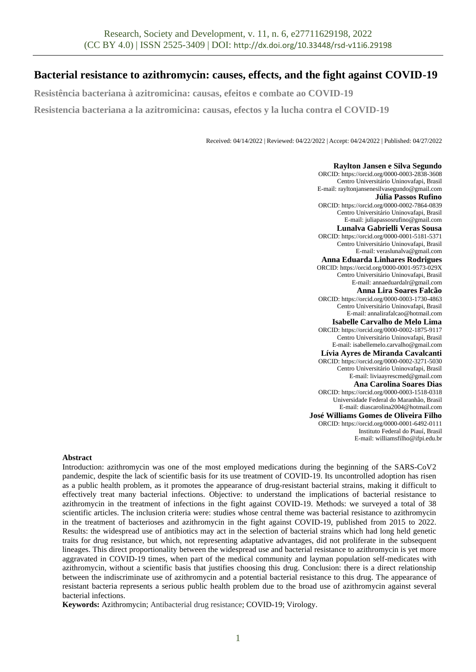# **Bacterial resistance to azithromycin: causes, effects, and the fight against COVID-19**

**Resistência bacteriana à azitromicina: causas, efeitos e combate ao COVID-19**

**Resistencia bacteriana a la azitromicina: causas, efectos y la lucha contra el COVID-19**

Received: 04/14/2022 | Reviewed: 04/22/2022 | Accept: 04/24/2022 | Published: 04/27/2022

**Raylton Jansen e Silva Segundo** ORCID[: https://orcid.org/0000-0003-2838-3608](https://orcid.org/0000-0003-2838-3608) Centro Universitário Uninovafapi, Brasil E-mail: rayltonjansenesilvasegundo@gmail.com **Júlia Passos Rufino** ORCID: https://orcid.org/0000-0002-7864-0839 Centro Universitário Uninovafapi, Brasil E-mail: juliapassosrufino@gmail.com **Lunalva Gabrielli Veras Sousa** ORCID: https://orcid.org/0000-0001-5181-5371 Centro Universitário Uninovafapi, Brasil E-mail: veraslunalva@gmail.com **Anna Eduarda Linhares Rodrigues**  ORCID: https://orcid.org/0000-0001-9573-029X Centro Universitário Uninovafapi, Brasil E-mail: annaeduardalr@gmail.com **Anna Lira Soares Falcão** ORCID[: https://orcid.org/0000-0003-1730-4863](https://orcid.org/0000-0003-1730-4863) Centro Universitário Uninovafapi, Brasil E-mail: annalirafalcao@hotmail.com **Isabelle Carvalho de Melo Lima**  ORCID[: https://orcid.org/0000-0002-1875-9117](https://orcid.org/0000-0002-1875-9117) Centro Universitário Uninovafapi, Brasil E-mail: isabellemelo.carvalho@gmail.com **Lívia Ayres de Miranda Cavalcanti**  ORCID[: https://orcid.org/0000-0002-3271-5030](https://orcid.org/0000-0002-3271-5030) Centro Universitário Uninovafapi, Brasil E-mail: liviaayrescmed@gmail.com **Ana Carolina Soares Dias** ORCID: [https://orcid.org/0000-0003-1518-0318](https://orcid.org/0000-0003-1518-0318?lang=en) Universidade Federal do Maranhão, Brasil E-mail[: diascarolina2004@hotmail.com](mailto:diascarolina2004@hotmail.com) **José Williams Gomes de Oliveira Filho** ORCID: https://orcid.org/0000-0001-6492-0111 Instituto Federal do Piauí, Brasil E-mail[: williamsfilho@ifpi.edu.br](mailto:williamsfilho@ifpi.edu.br)

### **Abstract**

Introduction: azithromycin was one of the most employed medications during the beginning of the SARS-CoV2 pandemic, despite the lack of scientific basis for its use treatment of COVID-19. Its uncontrolled adoption has risen as a public health problem, as it promotes the appearance of drug-resistant bacterial strains, making it difficult to effectively treat many bacterial infections. Objective: to understand the implications of bacterial resistance to azithromycin in the treatment of infections in the fight against COVID-19. Methods: we surveyed a total of 38 scientific articles. The inclusion criteria were: studies whose central theme was bacterial resistance to azithromycin in the treatment of bacterioses and azithromycin in the fight against COVID-19, published from 2015 to 2022. Results: the widespread use of antibiotics may act in the selection of bacterial strains which had long held genetic traits for drug resistance, but which, not representing adaptative advantages, did not proliferate in the subsequent lineages. This direct proportionality between the widespread use and bacterial resistance to azithromycin is yet more aggravated in COVID-19 times, when part of the medical community and layman population self-medicates with azithromycin, without a scientific basis that justifies choosing this drug. Conclusion: there is a direct relationship between the indiscriminate use of azithromycin and a potential bacterial resistance to this drug. The appearance of resistant bacteria represents a serious public health problem due to the broad use of azithromycin against several bacterial infections.

**Keywords:** Azithromycin; Antibacterial drug resistance; COVID-19; Virology.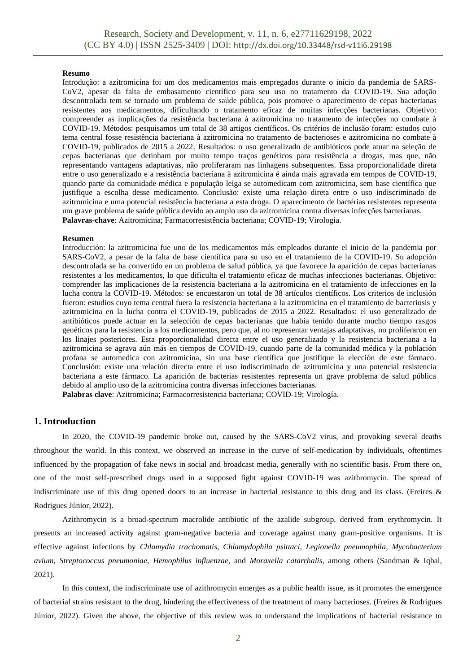### **Resumo**

Introdução: a azitromicina foi um dos medicamentos mais empregados durante o início da pandemia de SARS-CoV2, apesar da falta de embasamento científico para seu uso no tratamento da COVID-19. Sua adoção descontrolada tem se tornado um problema de saúde pública, pois promove o aparecimento de cepas bacterianas resistentes aos medicamentos, dificultando o tratamento eficaz de muitas infecções bacterianas. Objetivo: compreender as implicações da resistência bacteriana à azitromicina no tratamento de infecções no combate à COVID-19. Métodos: pesquisamos um total de 38 artigos científicos. Os critérios de inclusão foram: estudos cujo tema central fosse resistência bacteriana à azitromicina no tratamento de bacterioses e azitromicina no combate à COVID-19, publicados de 2015 a 2022. Resultados: o uso generalizado de antibióticos pode atuar na seleção de cepas bacterianas que detinham por muito tempo traços genéticos para resistência a drogas, mas que, não representando vantagens adaptativas, não proliferaram nas linhagens subsequentes. Essa proporcionalidade direta entre o uso generalizado e a resistência bacteriana à azitromicina é ainda mais agravada em tempos de COVID-19, quando parte da comunidade médica e população leiga se automedicam com azitromicina, sem base científica que justifique a escolha desse medicamento. Conclusão: existe uma relação direta entre o uso indiscriminado de azitromicina e uma potencial resistência bacteriana a esta droga. O aparecimento de bactérias resistentes representa um grave problema de saúde pública devido ao amplo uso da azitromicina contra diversas infecções bacterianas. **Palavras-chave**: Azitromicina; Farmacorresistência bacteriana; COVID-19; Virologia.

### **Resumen**

Introducción: la azitromicina fue uno de los medicamentos más empleados durante el inicio de la pandemia por SARS-CoV2, a pesar de la falta de base científica para su uso en el tratamiento de la COVID-19. Su adopción descontrolada se ha convertido en un problema de salud pública, ya que favorece la aparición de cepas bacterianas resistentes a los medicamentos, lo que dificulta el tratamiento eficaz de muchas infecciones bacterianas. Objetivo: comprender las implicaciones de la resistencia bacteriana a la azitromicina en el tratamiento de infecciones en la lucha contra la COVID-19. Métodos: se encuestaron un total de 38 artículos científicos. Los criterios de inclusión fueron: estudios cuyo tema central fuera la resistencia bacteriana a la azitromicina en el tratamiento de bacteriosis y azitromicina en la lucha contra el COVID-19, publicados de 2015 a 2022. Resultados: el uso generalizado de antibióticos puede actuar en la selección de cepas bacterianas que había tenido durante mucho tiempo rasgos genéticos para la resistencia a los medicamentos, pero que, al no representar ventajas adaptativas, no proliferaron en los linajes posteriores. Esta proporcionalidad directa entre el uso generalizado y la resistencia bacteriana a la azitromicina se agrava aún más en tiempos de COVID-19, cuando parte de la comunidad médica y la población profana se automedica con azitromicina, sin una base científica que justifique la elección de este fármaco. Conclusión: existe una relación directa entre el uso indiscriminado de azitromicina y una potencial resistencia bacteriana a este fármaco. La aparición de bacterias resistentes representa un grave problema de salud pública debido al amplio uso de la azitromicina contra diversas infecciones bacterianas.

**Palabras clave**: Azitromicina; Farmacorresistencia bacteriana; COVID-19; Virología.

# **1. Introduction**

In 2020, the COVID-19 pandemic broke out, caused by the SARS-CoV2 virus, and provoking several deaths throughout the world. In this context, we observed an increase in the curve of self-medication by individuals, oftentimes influenced by the propagation of fake news in social and broadcast media, generally with no scientific basis. From there on, one of the most self-prescribed drugs used in a supposed fight against COVID-19 was azithromycin. The spread of indiscriminate use of this drug opened doors to an increase in bacterial resistance to this drug and its class. (Freires & Rodrigues Júnior, 2022).

Azithromycin is a broad-spectrum macrolide antibiotic of the azalide subgroup, derived from erythromycin. It presents an increased activity against gram-negative bacteria and coverage against many gram-positive organisms. It is effective against infections by *Chlamydia trachomatis*, *Chlamydophila psittaci*, *Legionella pneumophila*, *Mycobacterium avium*, *Streptococcus pneumoniae*, *Hemophilus influenzae,* and *Moraxella catarrhalis*, among others (Sandman & Iqbal, 2021).

In this context, the indiscriminate use of azithromycin emerges as a public health issue, as it promotes the emergence of bacterial strains resistant to the drug, hindering the effectiveness of the treatment of many bacterioses. (Freires & Rodrigues Júnior, 2022). Given the above, the objective of this review was to understand the implications of bacterial resistance to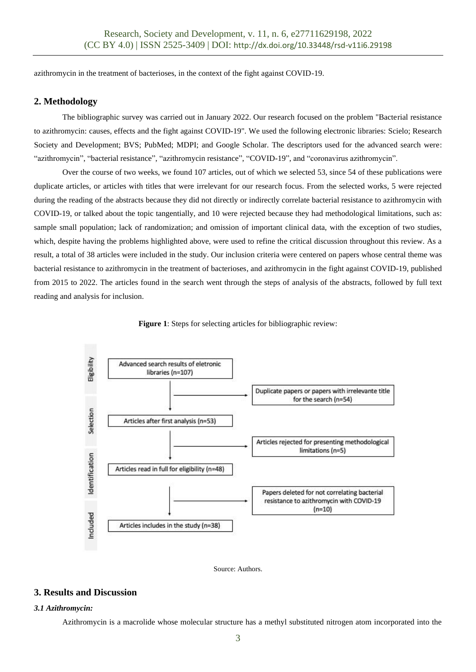azithromycin in the treatment of bacterioses, in the context of the fight against COVID-19.

# **2. Methodology**

The bibliographic survey was carried out in January 2022. Our research focused on the problem "Bacterial resistance to azithromycin: causes, effects and the fight against COVID-19". We used the following electronic libraries: Scielo; Research Society and Development; BVS; PubMed; MDPI; and Google Scholar. The descriptors used for the advanced search were: "azithromycin", "bacterial resistance", "azithromycin resistance", "COVID-19", and "coronavirus azithromycin".

Over the course of two weeks, we found 107 articles, out of which we selected 53, since 54 of these publications were duplicate articles, or articles with titles that were irrelevant for our research focus. From the selected works, 5 were rejected during the reading of the abstracts because they did not directly or indirectly correlate bacterial resistance to azithromycin with COVID-19, or talked about the topic tangentially, and 10 were rejected because they had methodological limitations, such as: sample small population; lack of randomization; and omission of important clinical data, with the exception of two studies, which, despite having the problems highlighted above, were used to refine the critical discussion throughout this review. As a result, a total of 38 articles were included in the study. Our inclusion criteria were centered on papers whose central theme was bacterial resistance to azithromycin in the treatment of bacterioses, and azithromycin in the fight against COVID-19, published from 2015 to 2022. The articles found in the search went through the steps of analysis of the abstracts, followed by full text reading and analysis for inclusion.





Source: Authors.

# **3. Results and Discussion**

# *3.1 Azithromycin:*

Azithromycin is a macrolide whose molecular structure has a methyl substituted nitrogen atom incorporated into the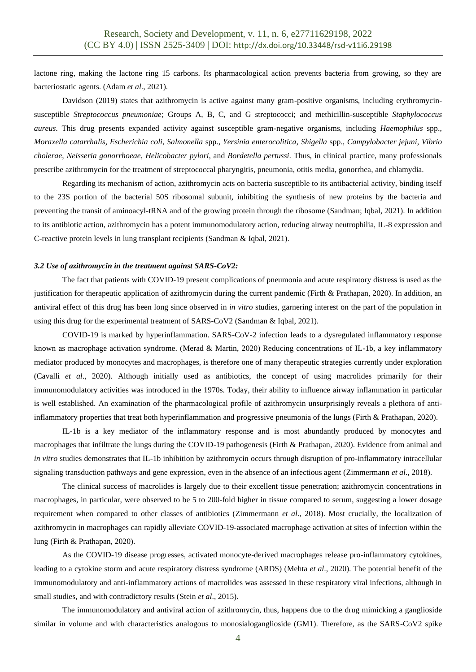lactone ring, making the lactone ring 15 carbons. Its pharmacological action prevents bacteria from growing, so they are bacteriostatic agents. (Adam *et al*., 2021).

Davidson (2019) states that azithromycin is active against many gram-positive organisms, including erythromycinsusceptible *Streptococcus pneumoniae*; Groups A, B, C, and G streptococci; and methicillin-susceptible *Staphylococcus aureus*. This drug presents expanded activity against susceptible gram-negative organisms, including *Haemophilus* spp., *Moraxella catarrhalis*, *Escherichia coli*, *Salmonella* spp., *Yersinia enterocolitica*, *Shigella* spp., *Campylobacter jejuni*, *Vibrio cholerae*, *Neisseria gonorrhoeae*, *Helicobacter pylori*, and *Bordetella pertussi*. Thus, in clinical practice, many professionals prescribe azithromycin for the treatment of streptococcal pharyngitis, pneumonia, otitis media, gonorrhea, and chlamydia.

Regarding its mechanism of action, azithromycin acts on bacteria susceptible to its antibacterial activity, binding itself to the 23S portion of the bacterial 50S ribosomal subunit, inhibiting the synthesis of new proteins by the bacteria and preventing the transit of aminoacyl-tRNA and of the growing protein through the ribosome (Sandman; Iqbal, 2021). In addition to its antibiotic action, azithromycin has a potent immunomodulatory action, reducing airway neutrophilia, IL-8 expression and C-reactive protein levels in lung transplant recipients (Sandman & Iqbal, 2021).

#### *3.2 Use of azithromycin in the treatment against SARS-CoV2:*

The fact that patients with COVID-19 present complications of pneumonia and acute respiratory distress is used as the justification for therapeutic application of azithromycin during the current pandemic (Firth & Prathapan, 2020). In addition, an antiviral effect of this drug has been long since observed in *in vitro* studies, garnering interest on the part of the population in using this drug for the experimental treatment of SARS-CoV2 (Sandman & Iqbal, 2021).

COVID-19 is marked by hyperinflammation. SARS-CoV-2 infection leads to a dysregulated inflammatory response known as macrophage activation syndrome. (Merad & Martin, 2020) Reducing concentrations of IL-1b, a key inflammatory mediator produced by monocytes and macrophages, is therefore one of many therapeutic strategies currently under exploration (Cavalli *et al*., 2020). Although initially used as antibiotics, the concept of using macrolides primarily for their immunomodulatory activities was introduced in the 1970s. Today, their ability to influence airway inflammation in particular is well established. An examination of the pharmacological profile of azithromycin unsurprisingly reveals a plethora of antiinflammatory properties that treat both hyperinflammation and progressive pneumonia of the lungs (Firth & Prathapan, 2020).

IL-1b is a key mediator of the inflammatory response and is most abundantly produced by monocytes and macrophages that infiltrate the lungs during the COVID-19 pathogenesis (Firth & Prathapan, 2020). Evidence from animal and *in vitro* studies demonstrates that IL-1b inhibition by azithromycin occurs through disruption of pro-inflammatory intracellular signaling transduction pathways and gene expression, even in the absence of an infectious agent (Zimmermann *et al*., 2018).

The clinical success of macrolides is largely due to their excellent tissue penetration; azithromycin concentrations in macrophages, in particular, were observed to be 5 to 200-fold higher in tissue compared to serum, suggesting a lower dosage requirement when compared to other classes of antibiotics (Zimmermann *et al*., 2018). Most crucially, the localization of azithromycin in macrophages can rapidly alleviate COVID-19-associated macrophage activation at sites of infection within the lung (Firth & Prathapan, 2020).

As the COVID-19 disease progresses, activated monocyte-derived macrophages release pro-inflammatory cytokines, leading to a cytokine storm and acute respiratory distress syndrome (ARDS) (Mehta *et al*., 2020). The potential benefit of the immunomodulatory and anti-inflammatory actions of macrolides was assessed in these respiratory viral infections, although in small studies, and with contradictory results (Stein *et al*., 2015).

The immunomodulatory and antiviral action of azithromycin, thus, happens due to the drug mimicking a ganglioside similar in volume and with characteristics analogous to monosialoganglioside (GM1). Therefore, as the SARS-CoV2 spike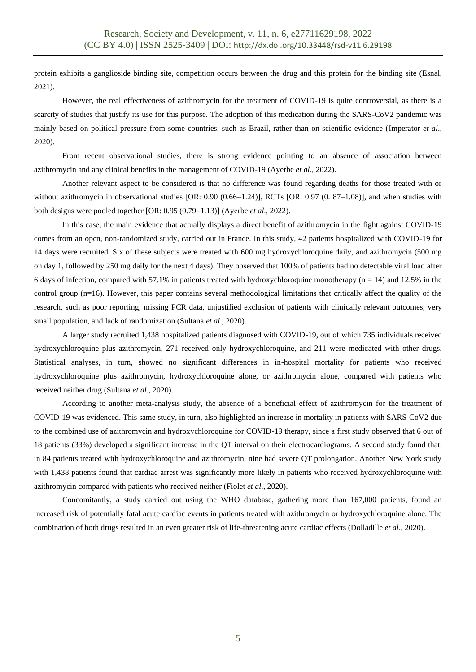protein exhibits a ganglioside binding site, competition occurs between the drug and this protein for the binding site (Esnal, 2021).

However, the real effectiveness of azithromycin for the treatment of COVID-19 is quite controversial, as there is a scarcity of studies that justify its use for this purpose. The adoption of this medication during the SARS-CoV2 pandemic was mainly based on political pressure from some countries, such as Brazil, rather than on scientific evidence (Imperator *et al*., 2020).

From recent observational studies, there is strong evidence pointing to an absence of association between azithromycin and any clinical benefits in the management of COVID-19 (Ayerbe *et al*., 2022).

Another relevant aspect to be considered is that no difference was found regarding deaths for those treated with or without azithromycin in observational studies [OR: 0.90 (0.66–1.24)], RCTs [OR: 0.97 (0. 87–1.08)], and when studies with both designs were pooled together [OR: 0.95 (0.79–1.13)] (Ayerbe *et al*., 2022).

In this case, the main evidence that actually displays a direct benefit of azithromycin in the fight against COVID-19 comes from an open, non-randomized study, carried out in France. In this study, 42 patients hospitalized with COVID-19 for 14 days were recruited. Six of these subjects were treated with 600 mg hydroxychloroquine daily, and azithromycin (500 mg on day 1, followed by 250 mg daily for the next 4 days). They observed that 100% of patients had no detectable viral load after 6 days of infection, compared with 57.1% in patients treated with hydroxychloroquine monotherapy ( $n = 14$ ) and 12.5% in the control group  $(n=16)$ . However, this paper contains several methodological limitations that critically affect the quality of the research, such as poor reporting, missing PCR data, unjustified exclusion of patients with clinically relevant outcomes, very small population, and lack of randomization (Sultana *et al*., 2020).

A larger study recruited 1,438 hospitalized patients diagnosed with COVID-19, out of which 735 individuals received hydroxychloroquine plus azithromycin, 271 received only hydroxychloroquine, and 211 were medicated with other drugs. Statistical analyses, in turn, showed no significant differences in in-hospital mortality for patients who received hydroxychloroquine plus azithromycin, hydroxychloroquine alone, or azithromycin alone, compared with patients who received neither drug (Sultana *et al*., 2020).

According to another meta-analysis study, the absence of a beneficial effect of azithromycin for the treatment of COVID-19 was evidenced. This same study, in turn, also highlighted an increase in mortality in patients with SARS-CoV2 due to the combined use of azithromycin and hydroxychloroquine for COVID-19 therapy, since a first study observed that 6 out of 18 patients (33%) developed a significant increase in the QT interval on their electrocardiograms. A second study found that, in 84 patients treated with hydroxychloroquine and azithromycin, nine had severe QT prolongation. Another New York study with 1,438 patients found that cardiac arrest was significantly more likely in patients who received hydroxychloroquine with azithromycin compared with patients who received neither (Fiolet *et al*., 2020).

Concomitantly, a study carried out using the WHO database, gathering more than 167,000 patients, found an increased risk of potentially fatal acute cardiac events in patients treated with azithromycin or hydroxychloroquine alone. The combination of both drugs resulted in an even greater risk of life-threatening acute cardiac effects (Dolladille *et al*., 2020).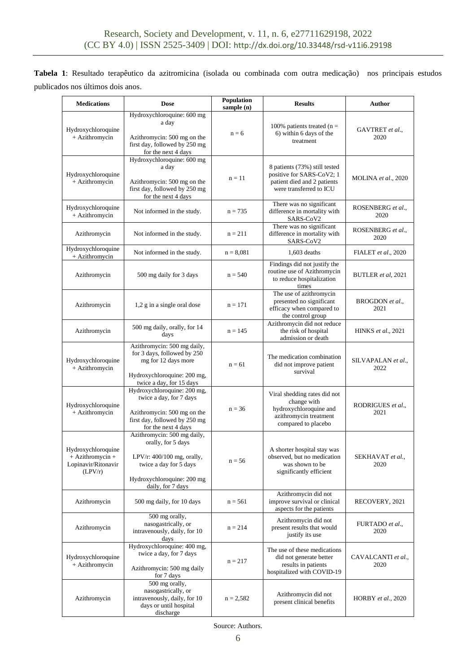**Tabela 1**: Resultado terapêutico da azitromicina (isolada ou combinada com outra medicação) nos principais estudos publicados nos últimos dois anos.

| <b>Medications</b>                                                         | <b>Dose</b>                                                                                                                                                    | Population<br>sample (n) | <b>Results</b>                                                                                                         | Author                     |
|----------------------------------------------------------------------------|----------------------------------------------------------------------------------------------------------------------------------------------------------------|--------------------------|------------------------------------------------------------------------------------------------------------------------|----------------------------|
| Hydroxychloroquine<br>+ Azithromycin                                       | Hydroxychloroquine: 600 mg<br>a day<br>Azithromycin: 500 mg on the<br>first day, followed by 250 mg<br>for the next 4 days                                     | $n = 6$                  | 100% patients treated ( $n =$<br>6) within 6 days of the<br>treatment                                                  | GAVTRET et al.,<br>2020    |
| Hydroxychloroquine<br>+ Azithromycin                                       | Hydroxychloroquine: 600 mg<br>a day<br>Azithromycin: 500 mg on the<br>first day, followed by 250 mg<br>for the next 4 days                                     | $n = 11$                 | 8 patients (73%) still tested<br>positive for SARS-CoV2; 1<br>patient died and 2 patients<br>were transferred to ICU   | <b>MOLINA</b> et al., 2020 |
| Hydroxychloroquine<br>+ Azithromycin                                       | Not informed in the study.                                                                                                                                     | $n = 735$                | There was no significant<br>difference in mortality with<br>SARS-CoV2                                                  | ROSENBERG et al.,<br>2020  |
| Azithromycin                                                               | Not informed in the study.                                                                                                                                     | $n = 211$                | There was no significant<br>difference in mortality with<br>SARS-CoV2                                                  | ROSENBERG et al.,<br>2020  |
| Hydroxychloroquine<br>+ Azithromycin                                       | Not informed in the study.                                                                                                                                     | $n = 8,081$              | $1,603$ deaths                                                                                                         | FIALET et al., 2020        |
| Azithromycin                                                               | 500 mg daily for 3 days                                                                                                                                        | $n = 540$                | Findings did not justify the<br>routine use of Azithromycin<br>to reduce hospitalization<br>times                      | BUTLER et al, 2021         |
| Azithromycin                                                               | 1,2 g in a single oral dose                                                                                                                                    | $n = 171$                | The use of azithromycin<br>presented no significant<br>efficacy when compared to<br>the control group                  | BROGDON et al.,<br>2021    |
| Azithromycin                                                               | 500 mg daily, orally, for 14<br>days                                                                                                                           | $n = 145$                | Azithromycin did not reduce<br>the risk of hospital<br>admission or death                                              | HINKS et al., 2021         |
| Hydroxychloroquine<br>+ Azithromycin                                       | Azithromycin: 500 mg daily,<br>for 3 days, followed by 250<br>mg for 12 days more<br>Hydroxychloroquine: 200 mg,<br>twice a day, for 15 days                   | $n = 61$                 | The medication combination<br>did not improve patient<br>survival                                                      | SILVAPALAN et al.,<br>2022 |
| Hydroxychloroquine<br>+ Azithromycin                                       | Hydroxychloroquine: 200 mg,<br>twice a day, for 7 days<br>Azithromycin: 500 mg on the<br>first day, followed by 250 mg<br>for the next 4 days                  | $n = 36$                 | Viral shedding rates did not<br>change with<br>hydroxychloroquine and<br>azithromycin treatment<br>compared to placebo | RODRIGUES et al.,<br>2021  |
| Hydroxychloroquine<br>$+ Azithromycin +$<br>Lopinavir/Ritonavir<br>(LPV/r) | Azithromycin: 500 mg daily,<br>orally, for 5 days<br>LPV/r: $400/100$ mg, orally,<br>twice a day for 5 days<br>Hydroxychloroquine: 200 mg<br>daily, for 7 days | $n = 56$                 | A shorter hospital stay was<br>observed, but no medication<br>was shown to be<br>significantly efficient               | SEKHAVAT et al.,<br>2020   |
| Azithromycin                                                               | 500 mg daily, for 10 days                                                                                                                                      | $n = 561$                | Azithromycin did not<br>improve survival or clinical<br>aspects for the patients                                       | RECOVERY, 2021             |
| Azithromycin                                                               | 500 mg orally,<br>nasogastrically, or<br>intravenously, daily, for 10<br>days                                                                                  | $n = 214$                | Azithromycin did not<br>present results that would<br>justify its use                                                  | FURTADO et al.,<br>2020    |
| Hydroxychloroquine<br>+ Azithromycin                                       | Hydroxychloroquine: 400 mg,<br>twice a day, for 7 days<br>Azithromycin: 500 mg daily<br>for 7 days                                                             | $n = 217$                | The use of these medications<br>did not generate better<br>results in patients<br>hospitalized with COVID-19           | CAVALCANTI et al.,<br>2020 |
| Azithromycin                                                               | 500 mg orally,<br>nasogastrically, or<br>intravenously, daily, for 10<br>days or until hospital<br>discharge                                                   | $n = 2,582$              | Azithromycin did not<br>present clinical benefits                                                                      | HORBY et al., 2020         |

Source: Authors.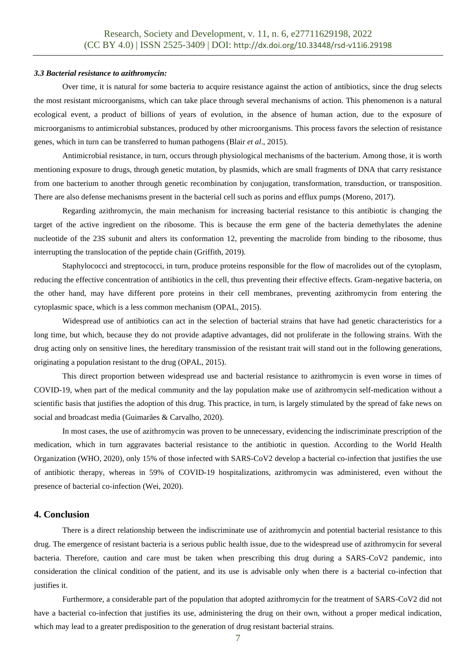#### *3.3 Bacterial resistance to azithromycin:*

Over time, it is natural for some bacteria to acquire resistance against the action of antibiotics, since the drug selects the most resistant microorganisms, which can take place through several mechanisms of action. This phenomenon is a natural ecological event, a product of billions of years of evolution, in the absence of human action, due to the exposure of microorganisms to antimicrobial substances, produced by other microorganisms. This process favors the selection of resistance genes, which in turn can be transferred to human pathogens (Blair *et al*., 2015).

Antimicrobial resistance, in turn, occurs through physiological mechanisms of the bacterium. Among those, it is worth mentioning exposure to drugs, through genetic mutation, by plasmids, which are small fragments of DNA that carry resistance from one bacterium to another through genetic recombination by conjugation, transformation, transduction, or transposition. There are also defense mechanisms present in the bacterial cell such as porins and efflux pumps (Moreno, 2017).

Regarding azithromycin, the main mechanism for increasing bacterial resistance to this antibiotic is changing the target of the active ingredient on the ribosome. This is because the erm gene of the bacteria demethylates the adenine nucleotide of the 23S subunit and alters its conformation 12, preventing the macrolide from binding to the ribosome, thus interrupting the translocation of the peptide chain (Griffith, 2019).

Staphylococci and streptococci, in turn, produce proteins responsible for the flow of macrolides out of the cytoplasm, reducing the effective concentration of antibiotics in the cell, thus preventing their effective effects. Gram-negative bacteria, on the other hand, may have different pore proteins in their cell membranes, preventing azithromycin from entering the cytoplasmic space, which is a less common mechanism (OPAL, 2015).

Widespread use of antibiotics can act in the selection of bacterial strains that have had genetic characteristics for a long time, but which, because they do not provide adaptive advantages, did not proliferate in the following strains. With the drug acting only on sensitive lines, the hereditary transmission of the resistant trait will stand out in the following generations, originating a population resistant to the drug (OPAL, 2015).

This direct proportion between widespread use and bacterial resistance to azithromycin is even worse in times of COVID-19, when part of the medical community and the lay population make use of azithromycin self-medication without a scientific basis that justifies the adoption of this drug. This practice, in turn, is largely stimulated by the spread of fake news on social and broadcast media (Guimarães & Carvalho, 2020).

In most cases, the use of azithromycin was proven to be unnecessary, evidencing the indiscriminate prescription of the medication, which in turn aggravates bacterial resistance to the antibiotic in question. According to the World Health Organization (WHO, 2020), only 15% of those infected with SARS-CoV2 develop a bacterial co-infection that justifies the use of antibiotic therapy, whereas in 59% of COVID-19 hospitalizations, azithromycin was administered, even without the presence of bacterial co-infection (Wei, 2020).

### **4. Conclusion**

There is a direct relationship between the indiscriminate use of azithromycin and potential bacterial resistance to this drug. The emergence of resistant bacteria is a serious public health issue, due to the widespread use of azithromycin for several bacteria. Therefore, caution and care must be taken when prescribing this drug during a SARS-CoV2 pandemic, into consideration the clinical condition of the patient, and its use is advisable only when there is a bacterial co-infection that justifies it.

Furthermore, a considerable part of the population that adopted azithromycin for the treatment of SARS-CoV2 did not have a bacterial co-infection that justifies its use, administering the drug on their own, without a proper medical indication, which may lead to a greater predisposition to the generation of drug resistant bacterial strains.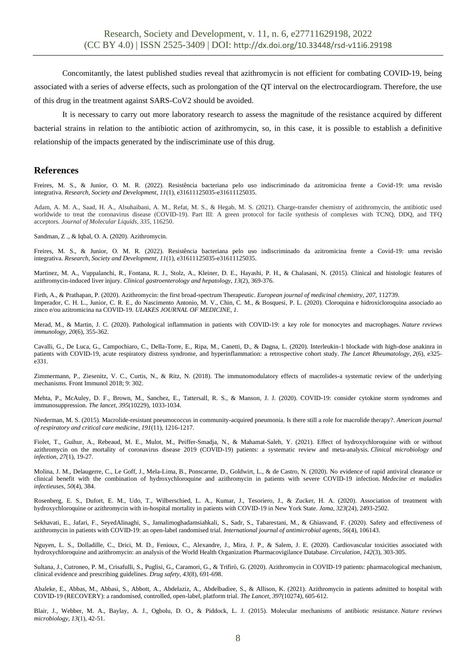Concomitantly, the latest published studies reveal that azithromycin is not efficient for combating COVID-19, being associated with a series of adverse effects, such as prolongation of the QT interval on the electrocardiogram. Therefore, the use of this drug in the treatment against SARS-CoV2 should be avoided.

It is necessary to carry out more laboratory research to assess the magnitude of the resistance acquired by different bacterial strains in relation to the antibiotic action of azithromycin, so, in this case, it is possible to establish a definitive relationship of the impacts generated by the indiscriminate use of this drug.

# **References**

Freires, M. S., & Junior, O. M. R. (2022). Resistência bacteriana pelo uso indiscriminado da azitromicina frente a Covid-19: uma revisão integrativa. *Research, Society and Development*, *11*(1), e31611125035-e31611125035.

Adam, A. M. A., Saad, H. A., Alsuhaibani, A. M., Refat, M. S., & Hegab, M. S. (2021). Charge-transfer chemistry of azithromycin, the antibiotic used worldwide to treat the coronavirus disease (COVID-19). Part III: A green protocol for facile synthesis of complexes with TCNQ, DDQ, and TFQ acceptors. *Journal of Molecular Liquids*, *335*, 116250.

Sandman, Z ., & Iqbal, O. A. (2020). Azithromycin.

Freires, M. S., & Junior, O. M. R. (2022). Resistência bacteriana pelo uso indiscriminado da azitromicina frente a Covid-19: uma revisão integrativa. *Research, Society and Development*, *11*(1), e31611125035-e31611125035.

Martinez, M. A., Vuppalanchi, R., Fontana, R. J., Stolz, A., Kleiner, D. E., Hayashi, P. H., & Chalasani, N. (2015). Clinical and histologic features of azithromycin-induced liver injury. *Clinical gastroenterology and hepatology*, *13*(2), 369-376.

Firth, A., & Prathapan, P. (2020). Azithromycin: the first broad-spectrum Therapeutic. *European journal of medicinal chemistry*, *207*, 112739. Imperador, C. H. L., Junior, C. R. E., do Nascimento Antonio, M. V., Chin, C. M., & Bosquesi, P. L. (2020). Cloroquina e hidroxicloroquina associado ao zinco e/ou azitromicina na COVID-19. *ULAKES JOURNAL OF MEDICINE*, *1*.

Merad, M., & Martin, J. C. (2020). Pathological inflammation in patients with COVID-19: a key role for monocytes and macrophages. *Nature reviews immunology*, *20*(6), 355-362.

Cavalli, G., De Luca, G., Campochiaro, C., Della-Torre, E., Ripa, M., Canetti, D., & Dagna, L. (2020). Interleukin-1 blockade with high-dose anakinra in patients with COVID-19, acute respiratory distress syndrome, and hyperinflammation: a retrospective cohort study. *The Lancet Rheumatology*, *2*(6), e325 e331.

Zimmermann, P., Ziesenitz, V. C., Curtis, N., & Ritz, N. (2018). The immunomodulatory effects of macrolides-a systematic review of the underlying mechanisms. Front Immunol 2018; 9: 302.

Mehta, P., McAuley, D. F., Brown, M., Sanchez, E., Tattersall, R. S., & Manson, J. J. (2020). COVID-19: consider cytokine storm syndromes and immunosuppression. *The lancet*, *395*(10229), 1033-1034.

Niederman, M. S. (2015). Macrolide-resistant pneumococcus in community-acquired pneumonia. Is there still a role for macrolide therapy?. *American journal of respiratory and critical care medicine*, *191*(11), 1216-1217.

Fiolet, T., Guihur, A., Rebeaud, M. E., Mulot, M., Peiffer-Smadja, N., & Mahamat-Saleh, Y. (2021). Effect of hydroxychloroquine with or without azithromycin on the mortality of coronavirus disease 2019 (COVID-19) patients: a systematic review and meta-analysis. *Clinical microbiology and infection*, *27*(1), 19-27.

Molina, J. M., Delaugerre, C., Le Goff, J., Mela-Lima, B., Ponscarme, D., Goldwirt, L., & de Castro, N. (2020). No evidence of rapid antiviral clearance or clinical benefit with the combination of hydroxychloroquine and azithromycin in patients with severe COVID-19 infection. *Medecine et maladies infectieuses*, *50*(4), 384.

Rosenberg, E. S., Dufort, E. M., Udo, T., Wilberschied, L. A., Kumar, J., Tesoriero, J., & Zucker, H. A. (2020). Association of treatment with hydroxychloroquine or azithromycin with in-hospital mortality in patients with COVID-19 in New York State. *Jama*, *323*(24), 2493-2502.

Sekhavati, E., Jafari, F., SeyedAlinaghi, S., Jamalimoghadamsiahkali, S., Sadr, S., Tabarestani, M., & Ghiasvand, F. (2020). Safety and effectiveness of azithromycin in patients with COVID-19: an open-label randomised trial. *International journal of antimicrobial agents*, *56*(4), 106143.

Nguyen, L. S., Dolladille, C., Drici, M. D., Fenioux, C., Alexandre, J., Mira, J. P., & Salem, J. E. (2020). Cardiovascular toxicities associated with hydroxychloroquine and azithromycin: an analysis of the World Health Organization Pharmacovigilance Database. *Circulation*, *142*(3), 303-305.

Sultana, J., Cutroneo, P. M., Crisafulli, S., Puglisi, G., Caramori, G., & Trifirò, G. (2020). Azithromycin in COVID-19 patients: pharmacological mechanism, clinical evidence and prescribing guidelines. *Drug safety*, *43*(8), 691-698.

Abaleke, E., Abbas, M., Abbasi, S., Abbott, A., Abdelaziz, A., Abdelbadiee, S., & Allison, K. (2021). Azithromycin in patients admitted to hospital with COVID-19 (RECOVERY): a randomised, controlled, open-label, platform trial. *The Lancet*, *397*(10274), 605-612.

Blair, J., Webber, M. A., Baylay, A. J., Ogbolu, D. O., & Piddock, L. J. (2015). Molecular mechanisms of antibiotic resistance. *Nature reviews microbiology*, *13*(1), 42-51.